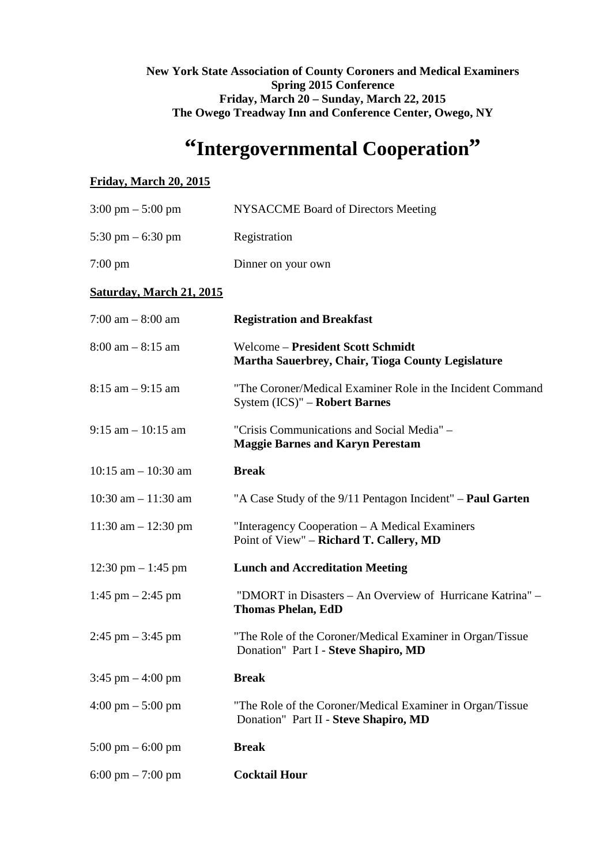#### **New York State Association of County Coroners and Medical Examiners Spring 2015 Conference Friday, March 20 – Sunday, March 22, 2015 The Owego Treadway Inn and Conference Center, Owego, NY**

# **"Intergovernmental Cooperation"**

## **Friday, March 20, 2015**

| $3:00 \text{ pm} - 5:00 \text{ pm}$ | <b>NYSACCME Board of Directors Meeting</b>                                                         |
|-------------------------------------|----------------------------------------------------------------------------------------------------|
| 5:30 pm $-$ 6:30 pm                 | Registration                                                                                       |
| $7:00 \text{ pm}$                   | Dinner on your own                                                                                 |
| <b>Saturday, March 21, 2015</b>     |                                                                                                    |
| 7:00 am $-8:00$ am                  | <b>Registration and Breakfast</b>                                                                  |
| $8:00$ am $-8:15$ am                | Welcome - President Scott Schmidt<br>Martha Sauerbrey, Chair, Tioga County Legislature             |
| $8:15$ am $-9:15$ am                | "The Coroner/Medical Examiner Role in the Incident Command<br>System (ICS)" – Robert Barnes        |
| $9:15$ am $-10:15$ am               | "Crisis Communications and Social Media" -<br><b>Maggie Barnes and Karyn Perestam</b>              |
| $10:15$ am $-10:30$ am              | <b>Break</b>                                                                                       |
| 10:30 am $- 11:30$ am               | "A Case Study of the 9/11 Pentagon Incident" – <b>Paul Garten</b>                                  |
| $11:30$ am $- 12:30$ pm             | "Interagency Cooperation – A Medical Examiners<br>Point of View" - Richard T. Callery, MD          |
| 12:30 pm $-$ 1:45 pm                | <b>Lunch and Accreditation Meeting</b>                                                             |
| 1:45 pm $-$ 2:45 pm                 | "DMORT in Disasters – An Overview of Hurricane Katrina" –<br><b>Thomas Phelan, EdD</b>             |
| $2:45$ pm $-3:45$ pm                | "The Role of the Coroner/Medical Examiner in Organ/Tissue<br>Donation" Part I - Steve Shapiro, MD  |
| 3:45 pm $-$ 4:00 pm                 | <b>Break</b>                                                                                       |
| $4:00 \text{ pm} - 5:00 \text{ pm}$ | "The Role of the Coroner/Medical Examiner in Organ/Tissue<br>Donation" Part II - Steve Shapiro, MD |
| $5:00 \text{ pm} - 6:00 \text{ pm}$ | <b>Break</b>                                                                                       |
| $6:00 \text{ pm} - 7:00 \text{ pm}$ | <b>Cocktail Hour</b>                                                                               |